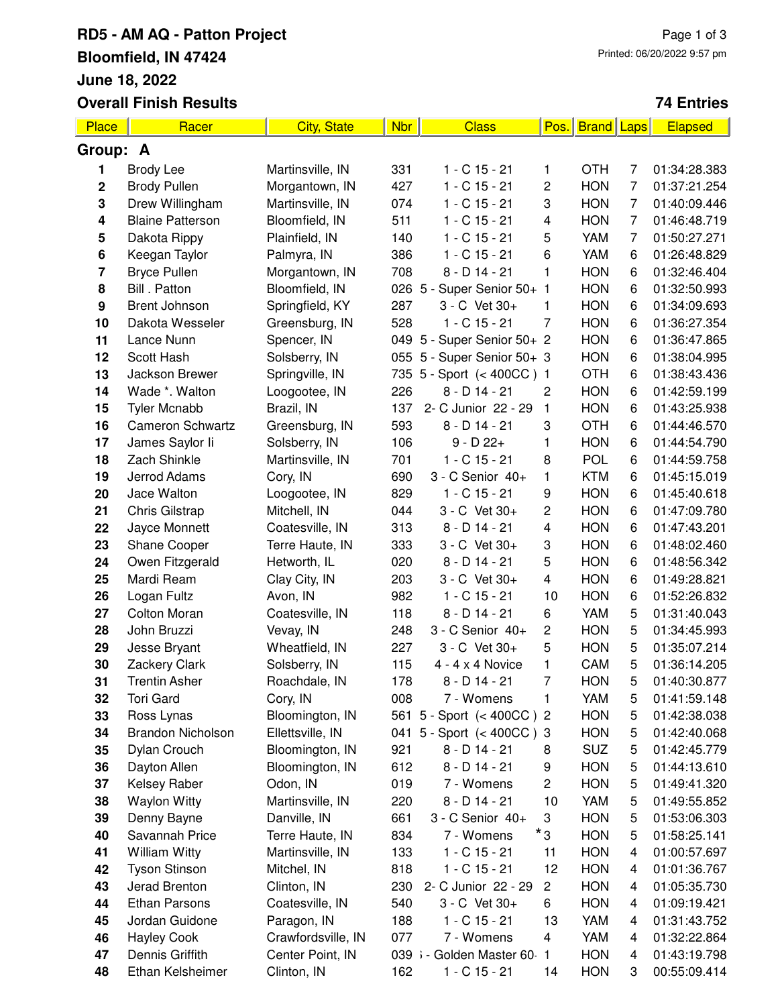### **RD5 - AM AQ - Patton Project Bloomfield, IN 47424 June 18, 2022 Overall Finish Results**

#### **74 Entries**

| Place                   | Racer                    | <b>City, State</b> | <b>Nbr</b> | <b>Class</b>               | Pos.                    | <b>Brand</b> Laps |   | <b>Elapsed</b> |  |
|-------------------------|--------------------------|--------------------|------------|----------------------------|-------------------------|-------------------|---|----------------|--|
|                         | Group: A                 |                    |            |                            |                         |                   |   |                |  |
| 1                       | <b>Brody Lee</b>         | Martinsville, IN   | 331        | $1 - C$ 15 - 21            | 1                       | <b>OTH</b>        | 7 | 01:34:28.383   |  |
| $\mathbf 2$             | <b>Brody Pullen</b>      | Morgantown, IN     | 427        | $1 - C$ 15 - 21            | 2                       | <b>HON</b>        | 7 | 01:37:21.254   |  |
| ${\bf 3}$               | Drew Willingham          | Martinsville, IN   | 074        | $1 - C$ 15 - 21            | 3                       | <b>HON</b>        | 7 | 01:40:09.446   |  |
| 4                       | <b>Blaine Patterson</b>  | Bloomfield, IN     | 511        | $1 - C$ 15 - 21            | 4                       | <b>HON</b>        | 7 | 01:46:48.719   |  |
| 5                       | Dakota Rippy             | Plainfield, IN     | 140        | $1 - C$ 15 - 21            | 5                       | YAM               | 7 | 01:50:27.271   |  |
| 6                       | Keegan Taylor            | Palmyra, IN        | 386        | $1 - C$ 15 - 21            | 6                       | <b>YAM</b>        | 6 | 01:26:48.829   |  |
| $\overline{\mathbf{r}}$ | <b>Bryce Pullen</b>      | Morgantown, IN     | 708        | $8 - D$ 14 - 21            | 1                       | <b>HON</b>        | 6 | 01:32:46.404   |  |
| 8                       | Bill . Patton            | Bloomfield, IN     |            | 026 5 - Super Senior 50+ 1 |                         | <b>HON</b>        | 6 | 01:32:50.993   |  |
| $\boldsymbol{9}$        | <b>Brent Johnson</b>     | Springfield, KY    | 287        | 3 - C Vet 30+              | 1                       | <b>HON</b>        | 6 | 01:34:09.693   |  |
| 10                      | Dakota Wesseler          | Greensburg, IN     | 528        | $1 - C$ 15 - 21            | 7                       | <b>HON</b>        | 6 | 01:36:27.354   |  |
| 11                      | Lance Nunn               | Spencer, IN        |            | 049 5 - Super Senior 50+ 2 |                         | <b>HON</b>        | 6 | 01:36:47.865   |  |
| 12                      | Scott Hash               | Solsberry, IN      |            | 055 5 - Super Senior 50+ 3 |                         | <b>HON</b>        | 6 | 01:38:04.995   |  |
| 13                      | Jackson Brewer           | Springville, IN    |            | 735 5 - Sport (< 400CC) 1  |                         | <b>OTH</b>        | 6 | 01:38:43.436   |  |
| 14                      | Wade *. Walton           | Loogootee, IN      | 226        | $8 - D$ 14 - 21            | $\overline{c}$          | <b>HON</b>        | 6 | 01:42:59.199   |  |
| 15                      | <b>Tyler Mcnabb</b>      | Brazil, IN         | 137        | 2- C Junior 22 - 29        | 1                       | <b>HON</b>        | 6 | 01:43:25.938   |  |
| 16                      | <b>Cameron Schwartz</b>  | Greensburg, IN     | 593        | $8 - D$ 14 - 21            | 3                       | <b>OTH</b>        | 6 | 01:44:46.570   |  |
| 17                      | James Saylor li          | Solsberry, IN      | 106        | $9 - D 22 +$               | 1                       | <b>HON</b>        | 6 | 01:44:54.790   |  |
| 18                      | Zach Shinkle             | Martinsville, IN   | 701        | $1 - C$ 15 - 21            | 8                       | <b>POL</b>        | 6 | 01:44:59.758   |  |
| 19                      | Jerrod Adams             | Cory, IN           | 690        | 3 - C Senior 40+           | 1                       | <b>KTM</b>        | 6 | 01:45:15.019   |  |
| 20                      | Jace Walton              | Loogootee, IN      | 829        | $1 - C$ 15 - 21            | 9                       | <b>HON</b>        | 6 | 01:45:40.618   |  |
| 21                      | Chris Gilstrap           | Mitchell, IN       | 044        | 3 - C Vet 30+              | 2                       | <b>HON</b>        | 6 | 01:47:09.780   |  |
| 22                      | Jayce Monnett            | Coatesville, IN    | 313        | $8 - D$ 14 - 21            | 4                       | <b>HON</b>        | 6 | 01:47:43.201   |  |
| 23                      | Shane Cooper             | Terre Haute, IN    | 333        | 3 - C Vet 30+              | 3                       | <b>HON</b>        | 6 | 01:48:02.460   |  |
| 24                      | Owen Fitzgerald          | Hetworth, IL       | 020        | $8 - D$ 14 - 21            | 5                       | <b>HON</b>        | 6 | 01:48:56.342   |  |
| 25                      | Mardi Ream               | Clay City, IN      | 203        | 3 - C Vet 30+              | $\overline{\mathbf{4}}$ | <b>HON</b>        | 6 | 01:49:28.821   |  |
| 26                      | Logan Fultz              | Avon, IN           | 982        | $1 - C$ 15 - 21            | 10                      | <b>HON</b>        | 6 | 01:52:26.832   |  |
| 27                      | <b>Colton Moran</b>      | Coatesville, IN    | 118        | $8 - D$ 14 - 21            | 6                       | YAM               | 5 | 01:31:40.043   |  |
| 28                      | John Bruzzi              | Vevay, IN          | 248        | 3 - C Senior 40+           | $\overline{c}$          | <b>HON</b>        | 5 | 01:34:45.993   |  |
| 29                      | Jesse Bryant             | Wheatfield, IN     | 227        | 3 - C Vet 30+              | 5                       | <b>HON</b>        | 5 | 01:35:07.214   |  |
| 30                      | Zackery Clark            | Solsberry, IN      | 115        | $4 - 4 \times 4$ Novice    | 1                       | CAM               | 5 | 01:36:14.205   |  |
| 31                      | <b>Trentin Asher</b>     | Roachdale, IN      | 178        | 8 - D 14 - 21              | 7                       | HON               | 5 | 01:40:30.877   |  |
| 32                      | Tori Gard                | Cory, IN           | 008        | 7 - Womens                 | 1                       | YAM               | 5 | 01:41:59.148   |  |
| 33                      | Ross Lynas               | Bloomington, IN    |            | 561 5 - Sport (< 400CC) 2  |                         | <b>HON</b>        | 5 | 01:42:38.038   |  |
| 34                      | <b>Brandon Nicholson</b> | Ellettsville, IN   |            | 041 5 - Sport (< 400CC) 3  |                         | <b>HON</b>        | 5 | 01:42:40.068   |  |
| 35                      | Dylan Crouch             | Bloomington, IN    | 921        | $8 - D$ 14 - 21            | 8                       | <b>SUZ</b>        | 5 | 01:42:45.779   |  |
| 36                      | Dayton Allen             | Bloomington, IN    | 612        | $8 - D$ 14 - 21            | 9                       | <b>HON</b>        | 5 | 01:44:13.610   |  |
| 37                      | <b>Kelsey Raber</b>      | Odon, IN           | 019        | 7 - Womens                 | $\overline{c}$          | <b>HON</b>        | 5 | 01:49:41.320   |  |
| 38                      | <b>Waylon Witty</b>      | Martinsville, IN   | 220        | $8 - D$ 14 - 21            | 10                      | YAM               | 5 | 01:49:55.852   |  |
| 39                      | Denny Bayne              | Danville, IN       | 661        | 3 - C Senior 40+           | 3                       | <b>HON</b>        | 5 | 01:53:06.303   |  |
| 40                      | Savannah Price           | Terre Haute, IN    | 834        | 7 - Womens                 | *3                      | <b>HON</b>        | 5 | 01:58:25.141   |  |
| 41                      | <b>William Witty</b>     | Martinsville, IN   | 133        | $1 - C$ 15 - 21            | 11                      | <b>HON</b>        | 4 | 01:00:57.697   |  |
| 42                      | <b>Tyson Stinson</b>     | Mitchel, IN        | 818        | $1 - C$ 15 - 21            | 12                      | <b>HON</b>        | 4 | 01:01:36.767   |  |
| 43                      | Jerad Brenton            | Clinton, IN        | 230        | 2- C Junior 22 - 29        | $\overline{\mathbf{c}}$ | <b>HON</b>        | 4 | 01:05:35.730   |  |
| 44                      | <b>Ethan Parsons</b>     | Coatesville, IN    | 540        | 3 - C Vet 30+              | 6                       | <b>HON</b>        | 4 | 01:09:19.421   |  |
| 45                      | Jordan Guidone           | Paragon, IN        | 188        | $1 - C$ 15 - 21            | 13                      | YAM               | 4 | 01:31:43.752   |  |
| 46                      | <b>Hayley Cook</b>       | Crawfordsville, IN | 077        | 7 - Womens                 | 4                       | YAM               | 4 | 01:32:22.864   |  |
| 47                      | Dennis Griffith          | Center Point, IN   |            | 039 i - Golden Master 60   | $\mathbf{1}$            | <b>HON</b>        | 4 | 01:43:19.798   |  |
| 48                      | Ethan Kelsheimer         | Clinton, IN        | 162        | 1 - C 15 - 21              | 14                      | <b>HON</b>        | 3 | 00:55:09.414   |  |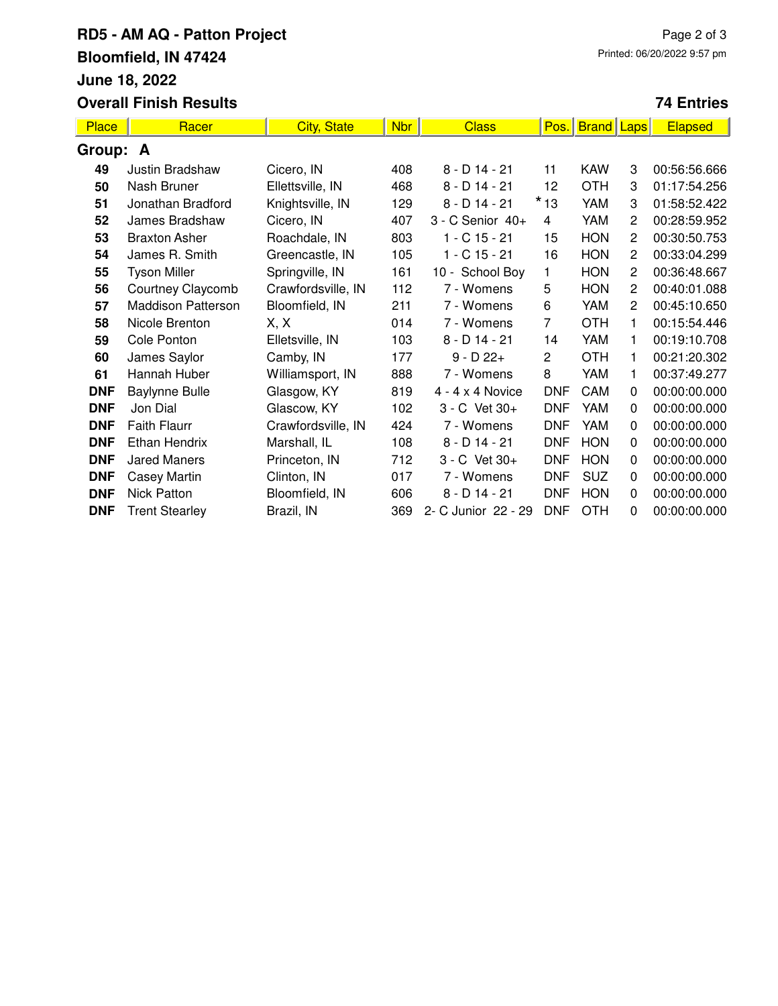# **RD5 - AM AQ - Patton Project Bloomfield, IN 47424 June 18, 2022 Overall Finish Results**

### **74 Entries**

| <b>Place</b> | Racer                     | <b>City, State</b> | <b>Nbr</b> | <b>Class</b>            | Pos.           | <b>Brand</b> | <b>Laps</b>    | <b>Elapsed</b> |  |
|--------------|---------------------------|--------------------|------------|-------------------------|----------------|--------------|----------------|----------------|--|
| Group: A     |                           |                    |            |                         |                |              |                |                |  |
| 49           | Justin Bradshaw           | Cicero, IN         | 408        | $8 - D$ 14 - 21         | 11             | <b>KAW</b>   | 3              | 00:56:56.666   |  |
| 50           | Nash Bruner               | Ellettsville, IN   | 468        | $8 - D$ 14 - 21         | 12             | <b>OTH</b>   | 3              | 01:17:54.256   |  |
| 51           | Jonathan Bradford         | Knightsville, IN   | 129        | $8 - D$ 14 - 21         | $*$ 13         | YAM          | 3              | 01:58:52.422   |  |
| 52           | James Bradshaw            | Cicero, IN         | 407        | 3 - C Senior 40+        | 4              | YAM          | $\overline{c}$ | 00:28:59.952   |  |
| 53           | <b>Braxton Asher</b>      | Roachdale, IN      | 803        | $1 - C$ 15 - 21         | 15             | <b>HON</b>   | 2              | 00:30:50.753   |  |
| 54           | James R. Smith            | Greencastle, IN    | 105        | $1 - C$ 15 - 21         | 16             | <b>HON</b>   | 2              | 00:33:04.299   |  |
| 55           | <b>Tyson Miller</b>       | Springville, IN    | 161        | 10 - School Boy         | 1              | <b>HON</b>   | $\overline{2}$ | 00:36:48.667   |  |
| 56           | Courtney Claycomb         | Crawfordsville, IN | 112        | 7 - Womens              | 5              | <b>HON</b>   | 2              | 00:40:01.088   |  |
| 57           | <b>Maddison Patterson</b> | Bloomfield, IN     | 211        | 7 - Womens              | 6              | YAM          | $\overline{c}$ | 00:45:10.650   |  |
| 58           | Nicole Brenton            | X, X               | 014        | 7 - Womens              | $\overline{7}$ | <b>OTH</b>   | 1              | 00:15:54.446   |  |
| 59           | Cole Ponton               | Elletsville, IN    | 103        | $8 - D$ 14 - 21         | 14             | YAM          | 1              | 00:19:10.708   |  |
| 60           | James Saylor              | Camby, IN          | 177        | $9 - D 22 +$            | $\mathbf{2}$   | <b>OTH</b>   | 1              | 00:21:20.302   |  |
| 61           | Hannah Huber              | Williamsport, IN   | 888        | 7 - Womens              | 8              | YAM          | 1              | 00:37:49.277   |  |
| <b>DNF</b>   | <b>Baylynne Bulle</b>     | Glasgow, KY        | 819        | $4 - 4 \times 4$ Novice | <b>DNF</b>     | CAM          | 0              | 00:00:00.000   |  |
| <b>DNF</b>   | Jon Dial                  | Glascow, KY        | 102        | 3 - C Vet 30+           | <b>DNF</b>     | YAM          | 0              | 00:00:00.000   |  |
| <b>DNF</b>   | <b>Faith Flaurr</b>       | Crawfordsville, IN | 424        | 7 - Womens              | <b>DNF</b>     | YAM          | 0              | 00:00:00.000   |  |
| <b>DNF</b>   | <b>Ethan Hendrix</b>      | Marshall, IL       | 108        | $8 - D$ 14 - 21         | <b>DNF</b>     | <b>HON</b>   | 0              | 00:00:00.000   |  |
| <b>DNF</b>   | <b>Jared Maners</b>       | Princeton, IN      | 712        | 3 - C Vet 30+           | <b>DNF</b>     | <b>HON</b>   | 0              | 00:00:00.000   |  |
| <b>DNF</b>   | Casey Martin              | Clinton, IN        | 017        | 7 - Womens              | <b>DNF</b>     | <b>SUZ</b>   | 0              | 00:00:00.000   |  |
| <b>DNF</b>   | Nick Patton               | Bloomfield, IN     | 606        | $8 - D$ 14 - 21         | <b>DNF</b>     | <b>HON</b>   | 0              | 00:00:00.000   |  |
| <b>DNF</b>   | <b>Trent Stearley</b>     | Brazil, IN         | 369        | 2- C Junior 22 - 29     | <b>DNF</b>     | <b>OTH</b>   | 0              | 00:00:00.000   |  |
|              |                           |                    |            |                         |                |              |                |                |  |